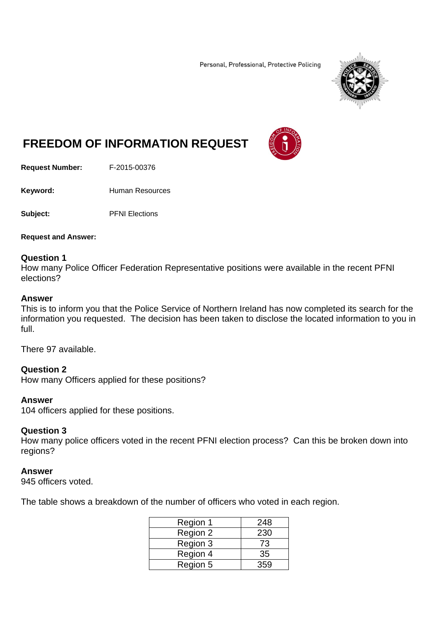Personal, Professional, Protective Policing



# **FREEDOM OF INFORMATION REQUEST**

**Request Number:** F-2015-00376

Keyword: **Human Resources** 

**Subject:** PFNI Elections

**Request and Answer:** 

## **Question 1**

How many Police Officer Federation Representative positions were available in the recent PFNI elections?

## **Answer**

This is to inform you that the Police Service of Northern Ireland has now completed its search for the information you requested. The decision has been taken to disclose the located information to you in full.

There 97 available.

**Question 2** 

How many Officers applied for these positions?

## **Answer**

104 officers applied for these positions.

## **Question 3**

How many police officers voted in the recent PFNI election process? Can this be broken down into regions?

## **Answer**

945 officers voted.

The table shows a breakdown of the number of officers who voted in each region.

| Region 1 | 248 |
|----------|-----|
| Region 2 | 230 |
| Region 3 | 73  |
| Region 4 | 35  |
| Region 5 | 359 |